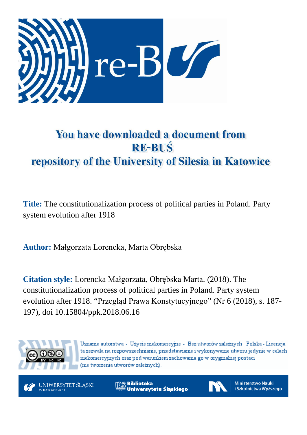

# You have downloaded a document from **RE-BUŚ** repository of the University of Silesia in Katowice

**Title:** The constitutionalization process of political parties in Poland. Party system evolution after 1918

**Author:** Małgorzata Lorencka, Marta Obrębska

**Citation style:** Lorencka Małgorzata, Obrębska Marta. (2018). The constitutionalization process of political parties in Poland. Party system evolution after 1918. "Przegląd Prawa Konstytucyjnego" (Nr 6 (2018), s. 187- 197), doi 10.15804/ppk.2018.06.16



Uznanie autorstwa - Użycie niekomercyjne - Bez utworów zależnych Polska - Licencja ta zezwala na rozpowszechnianie, przedstawianie i wykonywanie utworu jedynie w celach niekomercyjnych oraz pod warunkiem zachowania go w oryginalnej postaci (nie tworzenia utworów zależnych).

UNIWERSYTET ŚLĄSKI **KATOWICACH** 

**Biblioteka** Uniwersytetu Śląskiego



**Ministerstwo Nauki** i Szkolnictwa Wyższego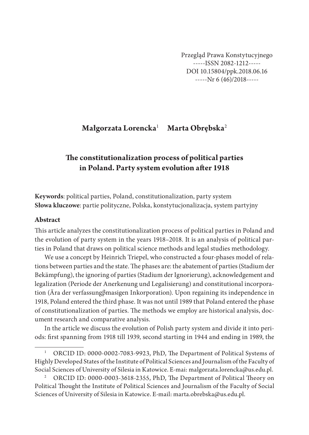Przegląd Prawa Konstytucyjnego -----ISSN 2082-1212----- DOI 10.15804/ppk.2018.06.16 -----Nr 6 (46)/2018-----

## **Małgorzata Lorencka**<sup>1</sup> **Marta Obrębska**<sup>2</sup>

# **The constitutionalization process of political parties in Poland. Party system evolution after 1918**

**Keywords**: political parties, Poland, constitutionalization, party system **Słowa kluczowe**: partie polityczne, Polska, konstytucjonalizacja, system partyjny

#### **Abstract**

This article analyzes the constitutionalization process of political parties in Poland and the evolution of party system in the years 1918–2018. It is an analysis of political parties in Poland that draws on political science methods and legal studies methodology.

We use a concept by Heinrich Triepel, who constructed a four-phases model of relations between parties and the state. The phases are: the abatement of parties (Stadium der Bekämpfung), the ignoring of parties (Stadium der Ignorierung), acknowledgement and legalization (Periode der Anerkenung und Legalisierung) and constitutional incorporation (Ära der verfassungβmasigen Inkorporation). Upon regaining its independence in 1918, Poland entered the third phase. It was not until 1989 that Poland entered the phase of constitutionalization of parties. The methods we employ are historical analysis, document research and comparative analysis.

In the article we discuss the evolution of Polish party system and divide it into periods: first spanning from 1918 till 1939, second starting in 1944 and ending in 1989, the

<sup>&</sup>lt;sup>1</sup> ORCID ID: 0000-0002-7083-9923, PhD, The Department of Political Systems of Highly Developed States of the Institute of Political Sciences and Journalism of the Faculty of Social Sciences of University of Silesia in Katowice. E-mai: malgorzata.lorencka@us.edu.pl.

<sup>&</sup>lt;sup>2</sup> ORCID ID: 0000-0003-3618-2355, PhD, The Department of Political Theory on Political Thought the Institute of Political Sciences and Journalism of the Faculty of Social Sciences of University of Silesia in Katowice. E-mail: marta.obrebska@us.edu.pl.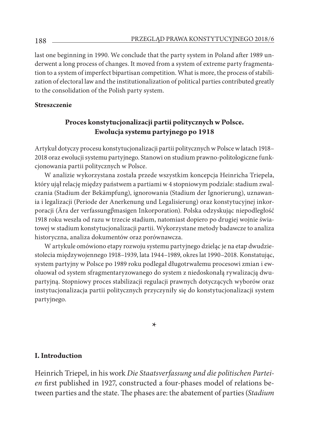last one beginning in 1990. We conclude that the party system in Poland after 1989 underwent a long process of changes. It moved from a system of extreme party fragmentation to a system of imperfect bipartisan competition. What is more, the process of stabilization of electoral law and the institutionalization of political parties contributed greatly to the consolidation of the Polish party system.

#### **Streszczenie**

## **Proces konstytucjonalizacji partii politycznych w Polsce. Ewolucja systemu partyjnego po 1918**

Artykuł dotyczy procesu konstytucjonalizacji partii politycznych w Polsce w latach 1918– 2018 oraz ewolucji systemu partyjnego. Stanowi on studium prawno-politologiczne funkcjonowania partii politycznych w Polsce.

W analizie wykorzystana została przede wszystkim koncepcja Heinricha Triepela, który ujął relację między państwem a partiami w 4 stopniowym podziale: stadium zwalczania (Stadium der Bekämpfung), ignorowania (Stadium der Ignorierung), uznawania i legalizacji (Periode der Anerkenung und Legalisierung) oraz konstytucyjnej inkorporacji (Ära der verfassungβmasigen Inkorporation). Polska odzyskując niepodległość 1918 roku weszła od razu w trzecie stadium, natomiast dopiero po drugiej wojnie światowej w stadium konstytucjonalizacji partii. Wykorzystane metody badawcze to analiza historyczna, analiza dokumentów oraz porównawcza.

W artykule omówiono etapy rozwoju systemu partyjnego dzieląc je na etap dwudziestolecia międzywojennego 1918–1939, lata 1944–1989, okres lat 1990–2018. Konstatując, system partyjny w Polsce po 1989 roku podlegał długotrwałemu procesowi zmian i ewoluował od system sfragmentaryzowanego do system z niedoskonałą rywalizacją dwupartyjną. Stopniowy proces stabilizacji regulacji prawnych dotyczących wyborów oraz instytucjonalizacja partii politycznych przyczyniły się do konstytucjonalizacji system partyjnego.

\*

#### **I. Introduction**

Heinrich Triepel, in his work *Die Staatsverfassung und die politischen Parteien* first published in 1927, constructed a four-phases model of relations between parties and the state. The phases are: the abatement of parties (*Stadium*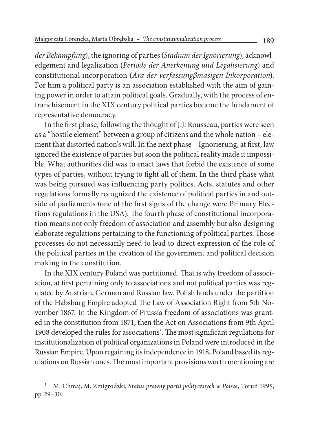*der Bekämpfung*), the ignoring of parties (*Stadium der Ignorierung*), acknowledgement and legalization (*Periode der Anerkenung und Legalisierung*) and constitutional incorporation (*Ära der verfassungβmasigen Inkorporation*). For him a political party is an association established with the aim of gaining power in order to attain political goals. Gradually, with the process of enfranchisement in the XIX century political parties became the fundament of representative democracy.

In the first phase, following the thought of J.J. Rousseau, parties were seen as a "hostile element" between a group of citizens and the whole nation – element that distorted nation's will. In the next phase – Ignorierung, at first, law ignored the existence of parties but soon the political reality made it impossible. What authorities did was to enact laws that forbid the existence of some types of parties, without trying to fight all of them. In the third phase what was being pursued was influencing party politics. Acts, statutes and other regulations formally recognized the existence of political parties in and outside of parliaments (one of the first signs of the change were Primary Elections regulations in the USA). The fourth phase of constitutional incorporation means not only freedom of association and assembly but also designing elaborate regulations pertaining to the functioning of political parties. Those processes do not necessarily need to lead to direct expression of the role of the political parties in the creation of the government and political decision making in the constitution.

In the XIX century Poland was partitioned. That is why freedom of association, at first pertaining only to associations and not political parties was regulated by Austrian, German and Russian law. Polish lands under the partition of the Habsburg Empire adopted The Law of Association Right from 5th November 1867. In the Kingdom of Prussia freedom of associations was granted in the constitution from 1871, then the Act on Associations from 9th April 1908 developed the rules for associations<sup>3</sup>. The most significant regulations for institutionalization of political organizations in Poland were introduced in the Russian Empire. Upon regaining its independence in 1918, Poland based its regulations on Russian ones. The most important provisions worth mentioning are

<sup>3</sup> M. Chmaj, M. Zmigrodzki, *Status prawny partii politycznych w Polsce*, Toruń 1995, pp. 29–30.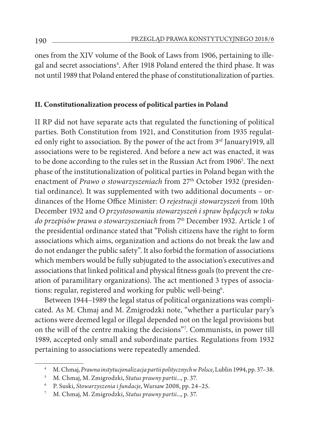ones from the XIV volume of the Book of Laws from 1906, pertaining to illegal and secret associations<sup>4</sup>. After 1918 Poland entered the third phase. It was not until 1989 that Poland entered the phase of constitutionalization of parties.

## **II. Constitutionalization process of political parties in Poland**

II RP did not have separate acts that regulated the functioning of political parties. Both Constitution from 1921, and Constitution from 1935 regulated only right to association. By the power of the act from 3rd January1919, all associations were to be registered. And before a new act was enacted, it was to be done according to the rules set in the Russian Act from 1906<sup>5</sup>. The next phase of the institutionalization of political parties in Poland began with the enactment of *Prawo o stowarzyszeniach* from 27th October 1932 (presidential ordinance). It was supplemented with two additional documents – ordinances of the Home Office Minister: *O rejestracji stowarzyszeń* from 10th December 1932 and *O przystosowaniu stowarzyszeń i spraw będących w toku do przepisów prawa o stowarzyszeniach* from 7th December 1932. Article 1 of the presidential ordinance stated that "Polish citizens have the right to form associations which aims, organization and actions do not break the law and do not endanger the public safety". It also forbid the formation of associations which members would be fully subjugated to the association's executives and associations that linked political and physical fitness goals (to prevent the creation of paramilitary organizations). The act mentioned 3 types of associations: regular, registered and working for public well-being<sup>6</sup>.

Between 1944–1989 the legal status of political organizations was complicated. As M. Chmaj and M. Żmigrodzki note, "whether a particular pary's actions were deemed legal or illegal depended not on the legal provisions but on the will of the centre making the decisions"7 . Communists, in power till 1989, accepted only small and subordinate parties. Regulations from 1932 pertaining to associations were repeatedly amended.

<sup>4</sup> M. Chmaj, *Prawna instytucjonalizacja partii politycznych w Polsce*, Lublin 1994, pp. 37–38.

<sup>5</sup> M. Chmaj, M. Zmigrodzki, *Status prawny partii...,* p. 37.

<sup>6</sup> P. Suski, *Stowarzyszenia i fundacje*, Warsaw 2008, pp. 24–25.

<sup>7</sup> M. Chmaj, M. Zmigrodzki, *Status prawny partii...,* p. 37.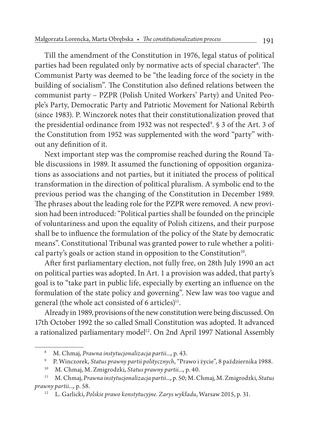Till the amendment of the Constitution in 1976, legal status of political parties had been regulated only by normative acts of special character<sup>s</sup>. The Communist Party was deemed to be "the leading force of the society in the building of socialism". The Constitution also defined relations between the communist party – PZPR (Polish United Workers' Party) and United People's Party, Democratic Party and Patriotic Movement for National Rebirth (since 1983). P. Winczorek notes that their constitutionalization proved that the presidential ordinance from 1932 was not respected<sup>9</sup>. § 3 of the Art. 3 of the Constitution from 1952 was supplemented with the word "party" without any definition of it.

Next important step was the compromise reached during the Round Table discussions in 1989. It assumed the functioning of opposition organizations as associations and not parties, but it initiated the process of political transformation in the direction of political pluralism. A symbolic end to the previous period was the changing of the Constitution in December 1989. The phrases about the leading role for the PZPR were removed. A new provision had been introduced: "Political parties shall be founded on the principle of voluntariness and upon the equality of Polish citizens, and their purpose shall be to influence the formulation of the policy of the State by democratic means". Constitutional Tribunal was granted power to rule whether a political party's goals or action stand in opposition to the Constitution $10$ .

After first parliamentary election, not fully free, on 28th July 1990 an act on political parties was adopted. In Art. 1 a provision was added, that party's goal is to "take part in public life, especially by exerting an influence on the formulation of the state policy and governing". New law was too vague and general (the whole act consisted of 6 articles)<sup>11</sup>.

Already in 1989, provisions of the new constitution were being discussed. On 17th October 1992 the so called Small Constitution was adopted. It advanced a rationalized parliamentary model<sup>12</sup>. On 2nd April 1997 National Assembly

<sup>8</sup> M. Chmaj, *Prawna instytucjonalizacja partii...,* p*.* 43.

<sup>9</sup> P. Winczorek, *Status prawny partii politycznych*, "Prawo i życie", 8 października 1988.

<sup>10</sup> M. Chmaj, M. Zmigrodzki, *Status prawny partii...,* p. 40.

<sup>11</sup> M. Chmaj, *Prawna instytucjonalizacja partii...,* p*.* 50; M. Chmaj, M. Zmigrodzki, *Status prawny partii...,* p. 58.

<sup>12</sup> L. Garlicki, *Polskie prawo konstytucyjne. Zarys wykładu*, Warsaw 2015, p. 31.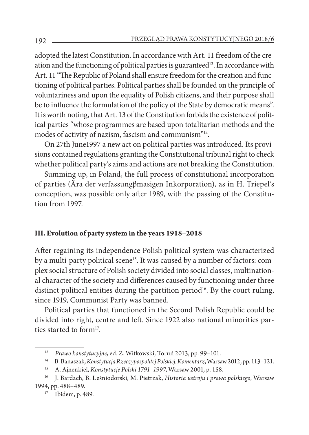adopted the latest Constitution. In accordance with Art. 11 freedom of the creation and the functioning of political parties is guaranteed<sup>13</sup>. In accordance with Art. 11 "The Republic of Poland shall ensure freedom for the creation and functioning of political parties. Political parties shall be founded on the principle of voluntariness and upon the equality of Polish citizens, and their purpose shall be to influence the formulation of the policy of the State by democratic means". It is worth noting, that Art. 13 of the Constitution forbids the existence of political parties "whose programmes are based upon totalitarian methods and the modes of activity of nazism, fascism and communism"14.

On 27th June1997 a new act on political parties was introduced. Its provisions contained regulations granting the Constitutional tribunal right to check whether political party's aims and actions are not breaking the Constitution.

Summing up, in Poland, the full process of constitutional incorporation of parties (Ära der verfassungβmasigen Inkorporation), as in H. Triepel's conception, was possible only after 1989, with the passing of the Constitution from 1997.

## **III. Evolution of party system in the years 1918–2018**

After regaining its independence Polish political system was characterized by a multi-party political scene<sup>15</sup>. It was caused by a number of factors: complex social structure of Polish society divided into social classes, multinational character of the society and differences caused by functioning under three distinct political entities during the partition period<sup>16</sup>. By the court ruling, since 1919, Communist Party was banned.

Political parties that functioned in the Second Polish Republic could be divided into right, centre and left. Since 1922 also national minorities parties started to form<sup>17</sup>.

<sup>13</sup> *Prawo konstytucyjne,* ed. Z. Witkowski, Toruń 2013, pp. 99–101.

<sup>14</sup> B. Banaszak, *Konstytucja Rzeczypospolitej Polskiej. Komentarz*, Warsaw 2012, pp. 113–121.

<sup>15</sup> A. Ajnenkiel, *Konstytucje Polski 1791–1997*, Warsaw 2001, p. 158.

<sup>16</sup> J. Bardach, B. Leśniodorski, M. Pietrzak, *Historia ustroju i prawa polskiego*, Warsaw 1994, pp. 488–489.

<sup>17</sup> Ibidem, p. 489.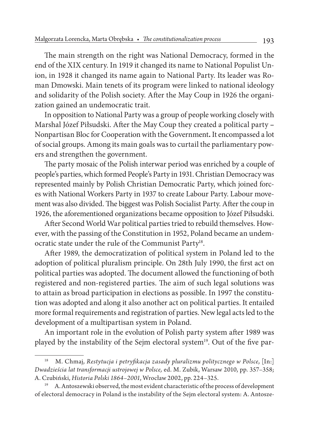The main strength on the right was National Democracy, formed in the end of the XIX century. In 1919 it changed its name to National Populist Union, in 1928 it changed its name again to National Party. Its leader was Roman Dmowski. Main tenets of its program were linked to national ideology and solidarity of the Polish society. After the May Coup in 1926 the organization gained an undemocratic trait.

In opposition to National Party was a group of people working closely with Marshal Józef Piłsudski. After the May Coup they created a political party **–**  Nonpartisan Bloc for Cooperation with the Government**.** It encompassed a lot of social groups. Among its main goals was to curtail the parliamentary powers and strengthen the government.

The party mosaic of the Polish interwar period was enriched by a couple of people's parties, which formed People's Party in 1931. Christian Democracy was represented mainly by Polish Christian Democratic Party, which joined forces with National Workers Party in 1937 to create Labour Party. Labour movement was also divided. The biggest was Polish Socialist Party. After the coup in 1926, the aforementioned organizations became opposition to Józef Piłsudski.

After Second World War political parties tried to rebuild themselves. However, with the passing of the Constitution in 1952, Poland became an undemocratic state under the rule of the Communist Party<sup>18</sup>.

After 1989, the democratization of political system in Poland led to the adoption of political pluralism principle. On 28th July 1990, the first act on political parties was adopted. The document allowed the functioning of both registered and non-registered parties. The aim of such legal solutions was to attain as broad participation in elections as possible. In 1997 the constitution was adopted and along it also another act on political parties. It entailed more formal requirements and registration of parties. New legal acts led to the development of a multipartisan system in Poland.

An important role in the evolution of Polish party system after 1989 was played by the instability of the Sejm electoral system<sup>19</sup>. Out of the five par-

<sup>18</sup> M. Chmaj, *Restytucja i petryfikacja zasady pluralizmu politycznego w Polsce*, [In:] *Dwadzieścia lat transformacji ustrojowej w Polsce,* ed. M. Zubik, Warsaw 2010, pp. 357–358; A. Czubiński, *Historia Polski 1864–2001*, Wrocław 2002, pp. 224–325.

<sup>19</sup> A. Antoszewski observed, the most evident characteristic of the process of development of electoral democracy in Poland is the instability of the Sejm electoral system: A. Antosze-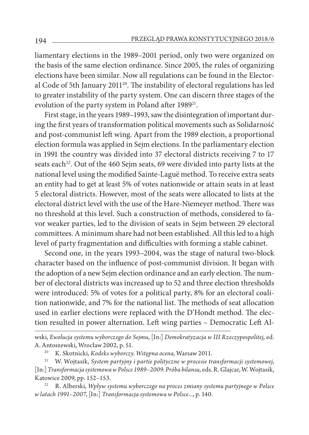liamentary elections in the 1989–2001 period, only two were organized on the basis of the same election ordinance. Since 2005, the rules of organizing elections have been similar. Now all regulations can be found in the Electoral Code of 5th January 2011<sup>20</sup>. The instability of electoral regulations has led to greater instability of the party system. One can discern three stages of the evolution of the party system in Poland after 1989<sup>21</sup>.

First stage, in the years 1989–1993, saw the disintegration of important during the first years of transformation political movements such as Solidarność and post-communist left wing. Apart from the 1989 election, a proportional election formula was applied in Sejm elections. In the parliamentary election in 1991 the country was divided into 37 electoral districts receiving 7 to 17 seats each<sup>22</sup>. Out of the 460 Sejm seats, 69 were divided into party lists at the national level using the modified Sainte-Laguë method. To receive extra seats an entity had to get at least 5% of votes nationwide or attain seats in at least 5 electoral districts. However, most of the seats were allocated to lists at the electoral district level with the use of the Hare-Niemeyer method. There was no threshold at this level. Such a construction of methods, considered to favor weaker parties, led to the division of seats in Sejm between 29 electoral committees. A minimum share had not been established. All this led to a high level of party fragmentation and difficulties with forming a stable cabinet.

Second one, in the years 1993–2004, was the stage of natural two-block character based on the influence of post-communist division. It began with the adoption of a new Sejm election ordinance and an early election. The number of electoral districts was increased up to 52 and three election thresholds were introduced: 5% of votes for a political party, 8% for an electoral coalition nationwide, and 7% for the national list. The methods of seat allocation used in earlier elections were replaced with the D'Hondt method. The election resulted in power alternation. Left wing parties – Democratic Left Al-

wski, *Ewolucja systemu wyborczego do Sejmu*, [In:] *Demokratyzacja w III Rzeczypospolitej,* ed. A. Antoszewski, Wrocław 2002, p. 51.

<sup>20</sup> K. Skotnicki, *Kodeks wyborczy. Wstępna ocena,* Warsaw 2011.

<sup>21</sup> W. Wojtasik, *System partyjny i partie polityczne w procesie transformacji systemowej*, [In:] *Transformacja systemowa w Polsce 1989–2009. Próba bilansu,* eds. R. Glajcar, W. Wojtasik, Katowice 2009, pp. 152–153.

<sup>22</sup> R. Alberski, *Wpływ systemu wyborczego na proces zmiany systemu partyjnego w Polsce w latach 1991–2007*, [In:] *Transformacja systemowa w Polsce...*, p. 140.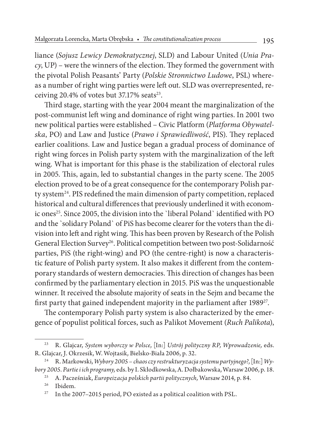liance (*Sojusz Lewicy Demokratycznej*, SLD) and Labour United (*Unia Pracy*, UP) – were the winners of the election. They formed the government with the pivotal Polish Peasants' Party (*Polskie Stronnictwo Ludowe*, PSL) whereas a number of right wing parties were left out. SLD was overrepresented, receiving  $20.4\%$  of votes but 37.17% seats<sup>23</sup>.

Third stage, starting with the year 2004 meant the marginalization of the post-communist left wing and dominance of right wing parties. In 2001 two new political parties were established – Civic Platform (*Platforma Obywatelska*, PO) and Law and Justice (*Prawo i Sprawiedliwość*, PIS). They replaced earlier coalitions. Law and Justice began a gradual process of dominance of right wing forces in Polish party system with the marginalization of the left wing. What is important for this phase is the stabilization of electoral rules in 2005. This, again, led to substantial changes in the party scene. The 2005 election proved to be of a great consequence for the contemporary Polish party system<sup>24</sup>. PIS redefined the main dimension of party competition, replaced historical and cultural differences that previously underlined it with economic ones<sup>25</sup>. Since 2005, the division into the `liberal Poland` identified with PO and the `solidary Poland` of PiS has become clearer for the voters than the division into left and right wing. This has been proven by Research of the Polish General Election Survey<sup>26</sup>. Political competition between two post-Solidarność parties, PiS (the right-wing) and PO (the centre-right) is now a characteristic feature of Polish party system. It also makes it different from the contemporary standards of western democracies. This direction of changes has been confirmed by the parliamentary election in 2015. PiS was the unquestionable winner. It received the absolute majority of seats in the Sejm and became the first party that gained independent majority in the parliament after 1989<sup>27</sup>.

The contemporary Polish party system is also characterized by the emergence of populist political forces, such as Palikot Movement (*Ruch Palikota*),

<sup>25</sup> A. Pacześniak, *Europeizacja polskich partii politycznych,* Warsaw 2014, p. 84.

<sup>23</sup> R. Glajcar, *System wyborczy w Polsce*, [In:] *Ustrój polityczny RP, Wprowadzenie,* eds. R*.* Glajcar, J. Okrzesik, W. Wojtasik, Bielsko-Biała 2006, p. 32.

<sup>24</sup> R. Markowski, *Wybory 2005 – chaos czy restrukturyzacja systemu partyjnego?*, [In:] *Wybory 2005. Partie i ich programy,* eds. by I. Skłodkowska, A. Dołbakowska, Warsaw 2006, p. 18.

Ibidem.

 $27$  In the 2007–2015 period, PO existed as a political coalition with PSL.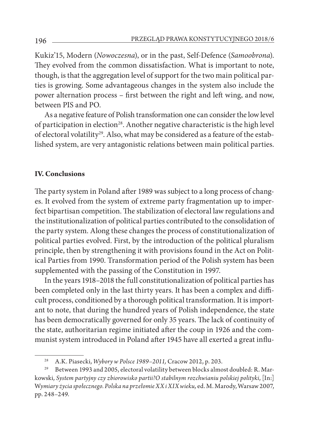Kukiz'15, Modern (*Nowoczesna*), or in the past, Self-Defence (*Samoobrona*). They evolved from the common dissatisfaction. What is important to note, though, is that the aggregation level of support for the two main political parties is growing. Some advantageous changes in the system also include the power alternation process – first between the right and left wing, and now, between PIS and PO.

As a negative feature of Polish transformation one can consider the low level of participation in election<sup>28</sup>. Another negative characteristic is the high level of electoral volatility<sup>29</sup>. Also, what may be considered as a feature of the established system, are very antagonistic relations between main political parties.

#### **IV. Conclusions**

The party system in Poland after 1989 was subject to a long process of changes. It evolved from the system of extreme party fragmentation up to imperfect bipartisan competition. The stabilization of electoral law regulations and the institutionalization of political parties contributed to the consolidation of the party system. Along these changes the process of constitutionalization of political parties evolved. First, by the introduction of the political pluralism principle, then by strengthening it with provisions found in the Act on Political Parties from 1990. Transformation period of the Polish system has been supplemented with the passing of the Constitution in 1997.

In the years 1918–2018 the full constitutionalization of political parties has been completed only in the last thirty years. It has been a complex and difficult process, conditioned by a thorough political transformation. It is important to note, that during the hundred years of Polish independence, the state has been democratically governed for only 35 years. The lack of continuity of the state, authoritarian regime initiated after the coup in 1926 and the communist system introduced in Poland after 1945 have all exerted a great influ-

<sup>28</sup> A.K. Piasecki, *Wybory w Polsce 1989–2011,* Cracow 2012, p. 203.

<sup>29</sup> Between 1993 and 2005, electoral volatility between blocks almost doubled: R. Markowski, *System partyjny czy zbiorowisko partii?O stabilnym rozchwianiu polskiej polityki*, [In:] W*ymiary życia społecznego. Polska na przełomie XX i XIX wieku,* ed. M. Marody, Warsaw 2007, pp. 248–249.